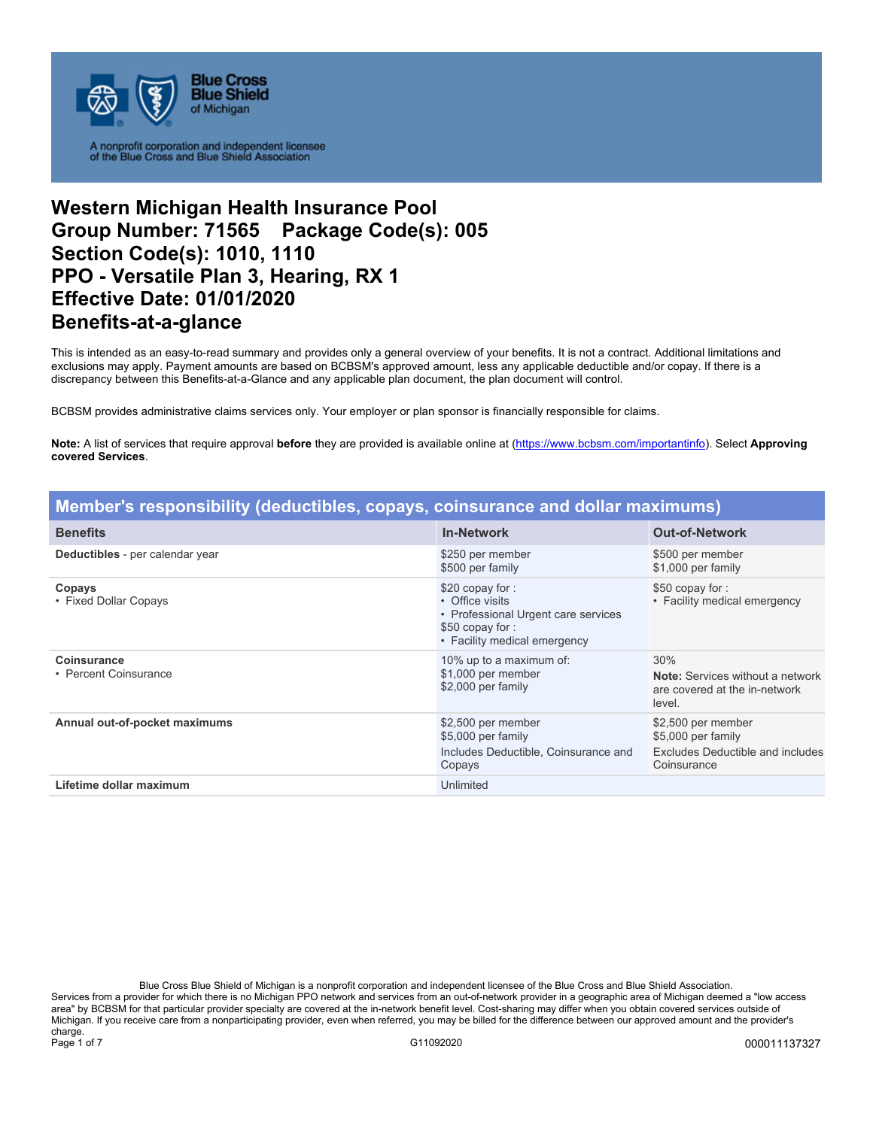

A nonprofit corporation and independent licensee<br>of the Blue Cross and Blue Shield Association

# **Western Michigan Health Insurance Pool Group Number: 71565 Package Code(s): 005 Section Code(s): 1010, 1110 PPO - Versatile Plan 3, Hearing, RX 1 Effective Date: 01/01/2020 Benefits-at-a-glance**

This is intended as an easy-to-read summary and provides only a general overview of your benefits. It is not a contract. Additional limitations and exclusions may apply. Payment amounts are based on BCBSM's approved amount, less any applicable deductible and/or copay. If there is a discrepancy between this Benefits-at-a-Glance and any applicable plan document, the plan document will control.

BCBSM provides administrative claims services only. Your employer or plan sponsor is financially responsible for claims.

**Note:** A list of services that require approval **before** they are provided is available online at (https://www.bcbsm.com/importantinfo). Select **Approving covered Services**.

| Member's responsibility (deductibles, copays, coinsurance and dollar maximums) |                                                                                                                              |                                                                                             |
|--------------------------------------------------------------------------------|------------------------------------------------------------------------------------------------------------------------------|---------------------------------------------------------------------------------------------|
| <b>Benefits</b>                                                                | <b>In-Network</b>                                                                                                            | <b>Out-of-Network</b>                                                                       |
| Deductibles - per calendar year                                                | \$250 per member<br>\$500 per family                                                                                         | \$500 per member<br>\$1,000 per family                                                      |
| Copays<br>• Fixed Dollar Copays                                                | \$20 copay for:<br>• Office visits<br>• Professional Urgent care services<br>\$50 copay for:<br>• Facility medical emergency | \$50 copay for:<br>• Facility medical emergency                                             |
| Coinsurance<br>• Percent Coinsurance                                           | 10% up to a maximum of:<br>\$1,000 per member<br>\$2,000 per family                                                          | 30%<br><b>Note:</b> Services without a network<br>are covered at the in-network<br>level.   |
| Annual out-of-pocket maximums                                                  | \$2,500 per member<br>\$5,000 per family<br>Includes Deductible, Coinsurance and<br>Copays                                   | \$2,500 per member<br>\$5,000 per family<br>Excludes Deductible and includes<br>Coinsurance |
| Lifetime dollar maximum                                                        | Unlimited                                                                                                                    |                                                                                             |

Blue Cross Blue Shield of Michigan is a nonprofit corporation and independent licensee of the Blue Cross and Blue Shield Association. Services from a provider for which there is no Michigan PPO network and services from an out-of-network provider in a geographic area of Michigan deemed a "low access area" by BCBSM for that particular provider specialty are covered at the in-network benefit level. Cost-sharing may differ when you obtain covered services outside of Michigan. If you receive care from a nonparticipating provider, even when referred, you may be billed for the difference between our approved amount and the provider's charge. Page 1 of 7 G11092020 **G11092020** G11092020 G11092020 G11092020 G11092020 G11092020 G11092020 G11092020 G11092020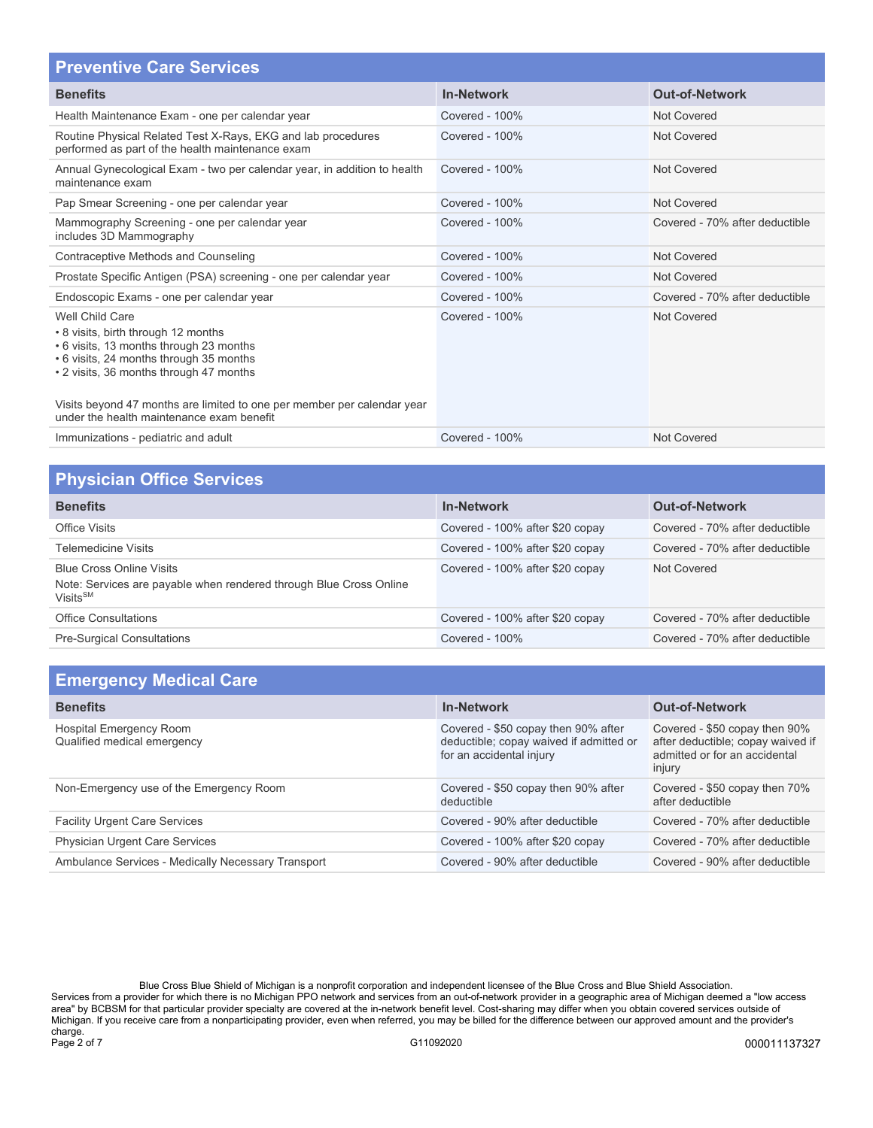| <b>Preventive Care Services</b>                                                                                                                                                                                                                                                                                 |                   |                                |
|-----------------------------------------------------------------------------------------------------------------------------------------------------------------------------------------------------------------------------------------------------------------------------------------------------------------|-------------------|--------------------------------|
| <b>Benefits</b>                                                                                                                                                                                                                                                                                                 | <b>In-Network</b> | <b>Out-of-Network</b>          |
| Health Maintenance Exam - one per calendar year                                                                                                                                                                                                                                                                 | Covered - 100%    | Not Covered                    |
| Routine Physical Related Test X-Rays, EKG and lab procedures<br>performed as part of the health maintenance exam                                                                                                                                                                                                | Covered - 100%    | Not Covered                    |
| Annual Gynecological Exam - two per calendar year, in addition to health<br>maintenance exam                                                                                                                                                                                                                    | Covered - 100%    | Not Covered                    |
| Pap Smear Screening - one per calendar year                                                                                                                                                                                                                                                                     | Covered - 100%    | Not Covered                    |
| Mammography Screening - one per calendar year<br>includes 3D Mammography                                                                                                                                                                                                                                        | Covered - 100%    | Covered - 70% after deductible |
| Contraceptive Methods and Counseling                                                                                                                                                                                                                                                                            | Covered - 100%    | Not Covered                    |
| Prostate Specific Antigen (PSA) screening - one per calendar year                                                                                                                                                                                                                                               | Covered - 100%    | Not Covered                    |
| Endoscopic Exams - one per calendar year                                                                                                                                                                                                                                                                        | Covered - 100%    | Covered - 70% after deductible |
| Well Child Care<br>• 8 visits, birth through 12 months<br>• 6 visits, 13 months through 23 months<br>• 6 visits, 24 months through 35 months<br>• 2 visits, 36 months through 47 months<br>Visits beyond 47 months are limited to one per member per calendar year<br>under the health maintenance exam benefit | Covered - 100%    | Not Covered                    |
| Immunizations - pediatric and adult                                                                                                                                                                                                                                                                             | Covered - 100%    | Not Covered                    |

| <b>Physician Office Services</b>                                                                                              |                                 |                                |
|-------------------------------------------------------------------------------------------------------------------------------|---------------------------------|--------------------------------|
| <b>Benefits</b>                                                                                                               | <b>In-Network</b>               | <b>Out-of-Network</b>          |
| Office Visits                                                                                                                 | Covered - 100% after \$20 copay | Covered - 70% after deductible |
| <b>Telemedicine Visits</b>                                                                                                    | Covered - 100% after \$20 copay | Covered - 70% after deductible |
| <b>Blue Cross Online Visits</b><br>Note: Services are payable when rendered through Blue Cross Online<br>Visits <sup>SM</sup> | Covered - 100% after \$20 copay | Not Covered                    |
| <b>Office Consultations</b>                                                                                                   | Covered - 100% after \$20 copay | Covered - 70% after deductible |
| <b>Pre-Surgical Consultations</b>                                                                                             | Covered - $100\%$               | Covered - 70% after deductible |

| <b>Emergency Medical Care</b>                          |                                                                                                            |                                                                                                               |
|--------------------------------------------------------|------------------------------------------------------------------------------------------------------------|---------------------------------------------------------------------------------------------------------------|
| <b>Benefits</b>                                        | <b>In-Network</b>                                                                                          | <b>Out-of-Network</b>                                                                                         |
| Hospital Emergency Room<br>Qualified medical emergency | Covered - \$50 copay then 90% after<br>deductible; copay waived if admitted or<br>for an accidental injury | Covered - \$50 copay then 90%<br>after deductible; copay waived if<br>admitted or for an accidental<br>injury |
| Non-Emergency use of the Emergency Room                | Covered - \$50 copay then 90% after<br>deductible                                                          | Covered - \$50 copay then 70%<br>after deductible                                                             |
| <b>Facility Urgent Care Services</b>                   | Covered - 90% after deductible                                                                             | Covered - 70% after deductible                                                                                |
| Physician Urgent Care Services                         | Covered - 100% after \$20 copay                                                                            | Covered - 70% after deductible                                                                                |
| Ambulance Services - Medically Necessary Transport     | Covered - 90% after deductible                                                                             | Covered - 90% after deductible                                                                                |

Blue Cross Blue Shield of Michigan is a nonprofit corporation and independent licensee of the Blue Cross and Blue Shield Association. Services from a provider for which there is no Michigan PPO network and services from an out-of-network provider in a geographic area of Michigan deemed a "low access area" by BCBSM for that particular provider specialty are covered at the in-network benefit level. Cost-sharing may differ when you obtain covered services outside of Michigan. If you receive care from a nonparticipating provider, even when referred, you may be billed for the difference between our approved amount and the provider's charge. Page 2 of 7 G11092020 000011137327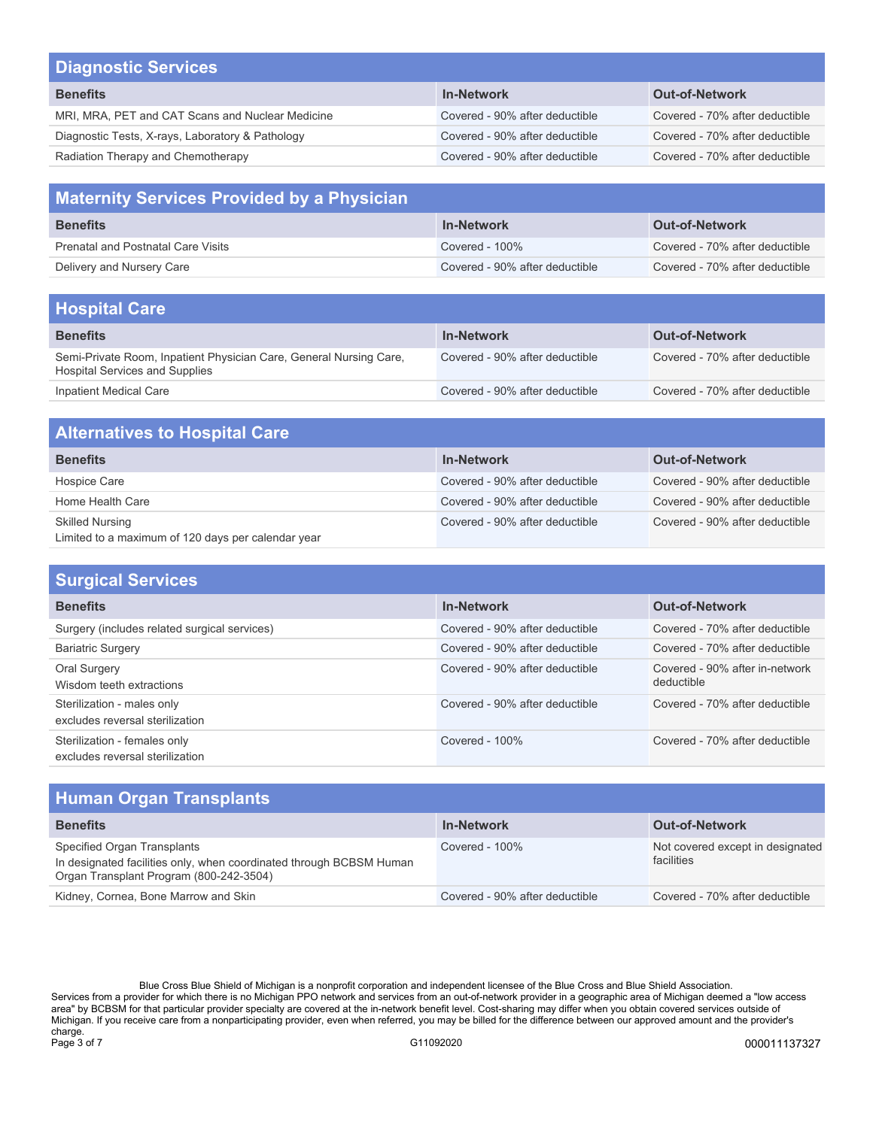| <b>Diagnostic Services</b>                       |                                |                                |
|--------------------------------------------------|--------------------------------|--------------------------------|
| <b>Benefits</b>                                  | <b>In-Network</b>              | <b>Out-of-Network</b>          |
| MRI, MRA, PET and CAT Scans and Nuclear Medicine | Covered - 90% after deductible | Covered - 70% after deductible |
| Diagnostic Tests, X-rays, Laboratory & Pathology | Covered - 90% after deductible | Covered - 70% after deductible |
| Radiation Therapy and Chemotherapy               | Covered - 90% after deductible | Covered - 70% after deductible |

| <b>Maternity Services Provided by a Physician</b> |                                |                                |
|---------------------------------------------------|--------------------------------|--------------------------------|
| <b>Benefits</b>                                   | <b>In-Network</b>              | <b>Out-of-Network</b>          |
| <b>Prenatal and Postnatal Care Visits</b>         | Covered - 100%                 | Covered - 70% after deductible |
| Delivery and Nursery Care                         | Covered - 90% after deductible | Covered - 70% after deductible |
|                                                   |                                |                                |

| <b>Hospital Care</b>                                                                                        |                                |                                |
|-------------------------------------------------------------------------------------------------------------|--------------------------------|--------------------------------|
| <b>Benefits</b>                                                                                             | <b>In-Network</b>              | <b>Out-of-Network</b>          |
| Semi-Private Room, Inpatient Physician Care, General Nursing Care,<br><b>Hospital Services and Supplies</b> | Covered - 90% after deductible | Covered - 70% after deductible |
| Inpatient Medical Care                                                                                      | Covered - 90% after deductible | Covered - 70% after deductible |

| <b>Alternatives to Hospital Care</b>                                         |                                |                                |
|------------------------------------------------------------------------------|--------------------------------|--------------------------------|
| <b>Benefits</b>                                                              | <b>In-Network</b>              | <b>Out-of-Network</b>          |
| Hospice Care                                                                 | Covered - 90% after deductible | Covered - 90% after deductible |
| Home Health Care                                                             | Covered - 90% after deductible | Covered - 90% after deductible |
| <b>Skilled Nursing</b><br>Limited to a maximum of 120 days per calendar year | Covered - 90% after deductible | Covered - 90% after deductible |

| <b>Surgical Services</b>                                        |                                |                                              |
|-----------------------------------------------------------------|--------------------------------|----------------------------------------------|
| <b>Benefits</b>                                                 | <b>In-Network</b>              | <b>Out-of-Network</b>                        |
| Surgery (includes related surgical services)                    | Covered - 90% after deductible | Covered - 70% after deductible               |
| <b>Bariatric Surgery</b>                                        | Covered - 90% after deductible | Covered - 70% after deductible               |
| Oral Surgery<br>Wisdom teeth extractions                        | Covered - 90% after deductible | Covered - 90% after in-network<br>deductible |
| Sterilization - males only<br>excludes reversal sterilization   | Covered - 90% after deductible | Covered - 70% after deductible               |
| Sterilization - females only<br>excludes reversal sterilization | Covered - $100\%$              | Covered - 70% after deductible               |

| <b>Human Organ Transplants</b>                                                                                                                |                                |                                                |
|-----------------------------------------------------------------------------------------------------------------------------------------------|--------------------------------|------------------------------------------------|
| <b>Benefits</b>                                                                                                                               | <b>In-Network</b>              | <b>Out-of-Network</b>                          |
| Specified Organ Transplants<br>In designated facilities only, when coordinated through BCBSM Human<br>Organ Transplant Program (800-242-3504) | Covered - 100%                 | Not covered except in designated<br>facilities |
| Kidney, Cornea, Bone Marrow and Skin                                                                                                          | Covered - 90% after deductible | Covered - 70% after deductible                 |

Blue Cross Blue Shield of Michigan is a nonprofit corporation and independent licensee of the Blue Cross and Blue Shield Association. Services from a provider for which there is no Michigan PPO network and services from an out-of-network provider in a geographic area of Michigan deemed a "low access area" by BCBSM for that particular provider specialty are covered at the in-network benefit level. Cost-sharing may differ when you obtain covered services outside of Michigan. If you receive care from a nonparticipating provider, even when referred, you may be billed for the difference between our approved amount and the provider's charge. Page 3 of 7 G11092020 **G11092020** G11092020 **G11092020** G11092020 G11092020 G11092020 G1092020 G1092020 G1092020 G1092020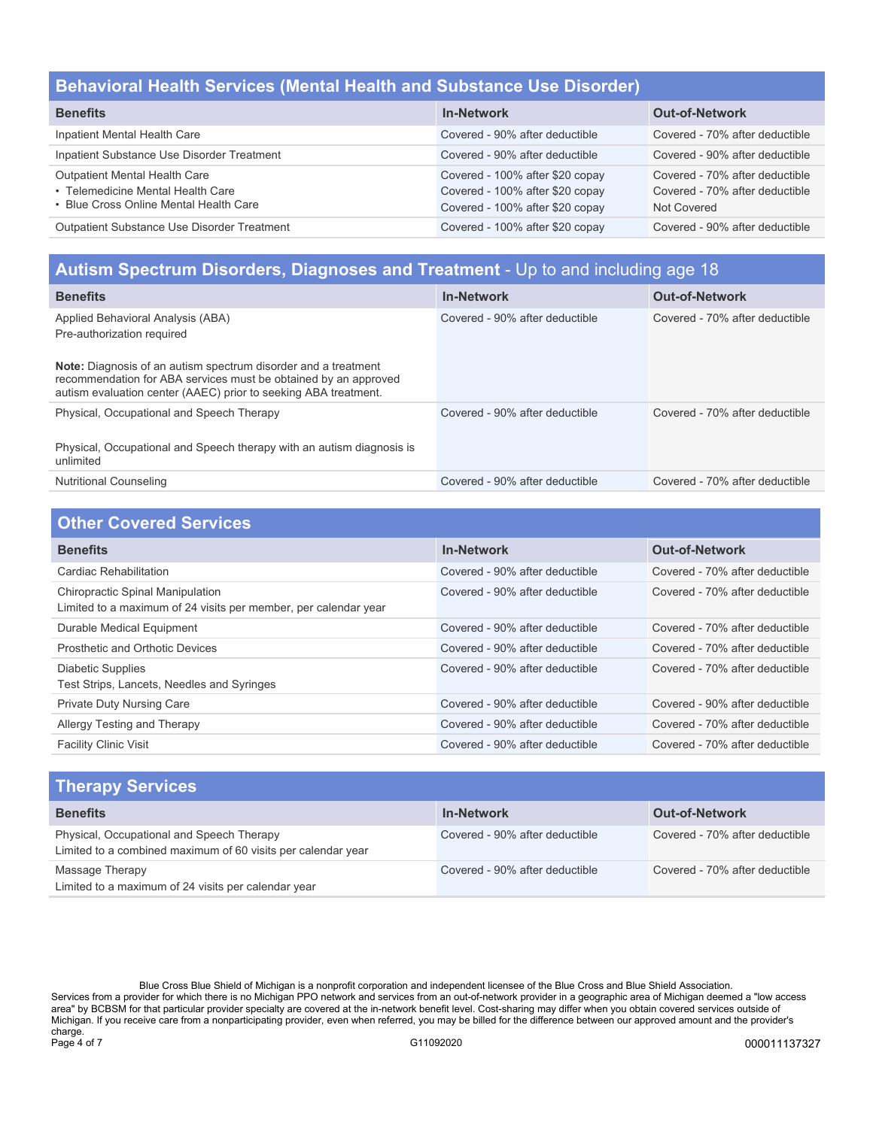### **Behavioral Health Services (Mental Health and Substance Use Disorder)**

| <b>Benefits</b>                                                                                                     | <b>In-Network</b>                                                                                     | <b>Out-of-Network</b>                                                           |
|---------------------------------------------------------------------------------------------------------------------|-------------------------------------------------------------------------------------------------------|---------------------------------------------------------------------------------|
| Inpatient Mental Health Care                                                                                        | Covered - 90% after deductible                                                                        | Covered - 70% after deductible                                                  |
| Inpatient Substance Use Disorder Treatment                                                                          | Covered - 90% after deductible                                                                        | Covered - 90% after deductible                                                  |
| <b>Outpatient Mental Health Care</b><br>• Telemedicine Mental Health Care<br>• Blue Cross Online Mental Health Care | Covered - 100% after \$20 copay<br>Covered - 100% after \$20 copay<br>Covered - 100% after \$20 copay | Covered - 70% after deductible<br>Covered - 70% after deductible<br>Not Covered |
| Outpatient Substance Use Disorder Treatment                                                                         | Covered - 100% after \$20 copay                                                                       | Covered - 90% after deductible                                                  |

#### **Autism Spectrum Disorders, Diagnoses and Treatment** - Up to and including age 18 **Benefits In-Network Out-of-Network**  Applied Behavioral Analysis (ABA) Pre-authorization required **Note:** Diagnosis of an autism spectrum disorder and a treatment recommendation for ABA services must be obtained by an approved autism evaluation center (AAEC) prior to seeking ABA treatment. Covered - 90% after deductible Covered - 70% after deductible Physical, Occupational and Speech Therapy Physical, Occupational and Speech therapy with an autism diagnosis is unlimited Covered - 90% after deductible Covered - 70% after deductible Nutritional Counseling Covered - 90% after deductible Covered - 70% after deductible

| <b>Other Covered Services</b>                                                                       |                                |                                |
|-----------------------------------------------------------------------------------------------------|--------------------------------|--------------------------------|
| <b>Benefits</b>                                                                                     | <b>In-Network</b>              | <b>Out-of-Network</b>          |
| Cardiac Rehabilitation                                                                              | Covered - 90% after deductible | Covered - 70% after deductible |
| Chiropractic Spinal Manipulation<br>Limited to a maximum of 24 visits per member, per calendar year | Covered - 90% after deductible | Covered - 70% after deductible |
| Durable Medical Equipment                                                                           | Covered - 90% after deductible | Covered - 70% after deductible |
| Prosthetic and Orthotic Devices                                                                     | Covered - 90% after deductible | Covered - 70% after deductible |
| <b>Diabetic Supplies</b><br>Test Strips, Lancets, Needles and Syringes                              | Covered - 90% after deductible | Covered - 70% after deductible |
| <b>Private Duty Nursing Care</b>                                                                    | Covered - 90% after deductible | Covered - 90% after deductible |
| Allergy Testing and Therapy                                                                         | Covered - 90% after deductible | Covered - 70% after deductible |
| <b>Facility Clinic Visit</b>                                                                        | Covered - 90% after deductible | Covered - 70% after deductible |

| <b>Therapy Services</b>                                                                                   |                                |                                |
|-----------------------------------------------------------------------------------------------------------|--------------------------------|--------------------------------|
| <b>Benefits</b>                                                                                           | <b>In-Network</b>              | <b>Out-of-Network</b>          |
| Physical, Occupational and Speech Therapy<br>Limited to a combined maximum of 60 visits per calendar year | Covered - 90% after deductible | Covered - 70% after deductible |
| Massage Therapy<br>Limited to a maximum of 24 visits per calendar year                                    | Covered - 90% after deductible | Covered - 70% after deductible |

Blue Cross Blue Shield of Michigan is a nonprofit corporation and independent licensee of the Blue Cross and Blue Shield Association. Services from a provider for which there is no Michigan PPO network and services from an out-of-network provider in a geographic area of Michigan deemed a "low access area" by BCBSM for that particular provider specialty are covered at the in-network benefit level. Cost-sharing may differ when you obtain covered services outside of Michigan. If you receive care from a nonparticipating provider, even when referred, you may be billed for the difference between our approved amount and the provider's Page 4 of 7 G11092020 000011137327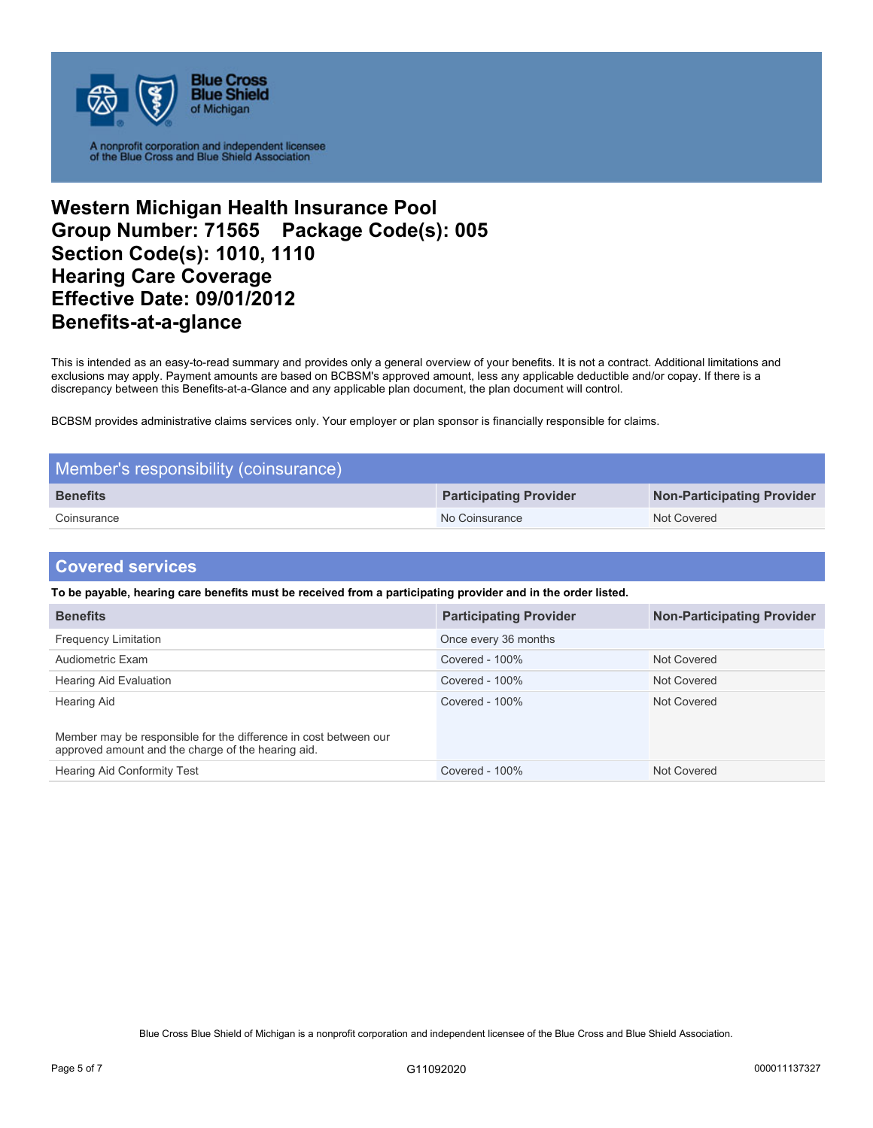

A nonprofit corporation and independent licensee<br>of the Blue Cross and Blue Shield Association

# **Western Michigan Health Insurance Pool Group Number: 71565 Package Code(s): 005 Section Code(s): 1010, 1110 Hearing Care Coverage Effective Date: 09/01/2012 Benefits-at-a-glance**

This is intended as an easy-to-read summary and provides only a general overview of your benefits. It is not a contract. Additional limitations and exclusions may apply. Payment amounts are based on BCBSM's approved amount, less any applicable deductible and/or copay. If there is a discrepancy between this Benefits-at-a-Glance and any applicable plan document, the plan document will control.

BCBSM provides administrative claims services only. Your employer or plan sponsor is financially responsible for claims.

| Member's responsibility (coinsurance) |                               |                            |
|---------------------------------------|-------------------------------|----------------------------|
| <b>Benefits</b>                       | <b>Participating Provider</b> | Non-Participating Provider |
| Coinsurance                           | No Coinsurance                | Not Covered                |

#### **Covered services**

**To be payable, hearing care benefits must be received from a participating provider and in the order listed.**

| <b>Benefits</b>                                                                                                        | <b>Participating Provider</b> | <b>Non-Participating Provider</b> |
|------------------------------------------------------------------------------------------------------------------------|-------------------------------|-----------------------------------|
| <b>Frequency Limitation</b>                                                                                            | Once every 36 months          |                                   |
| Audiometric Exam                                                                                                       | Covered - 100%                | Not Covered                       |
| <b>Hearing Aid Evaluation</b>                                                                                          | Covered - 100%                | Not Covered                       |
| Hearing Aid                                                                                                            | Covered - 100%                | Not Covered                       |
| Member may be responsible for the difference in cost between our<br>approved amount and the charge of the hearing aid. |                               |                                   |
| <b>Hearing Aid Conformity Test</b>                                                                                     | Covered - $100\%$             | Not Covered                       |

Blue Cross Blue Shield of Michigan is a nonprofit corporation and independent licensee of the Blue Cross and Blue Shield Association.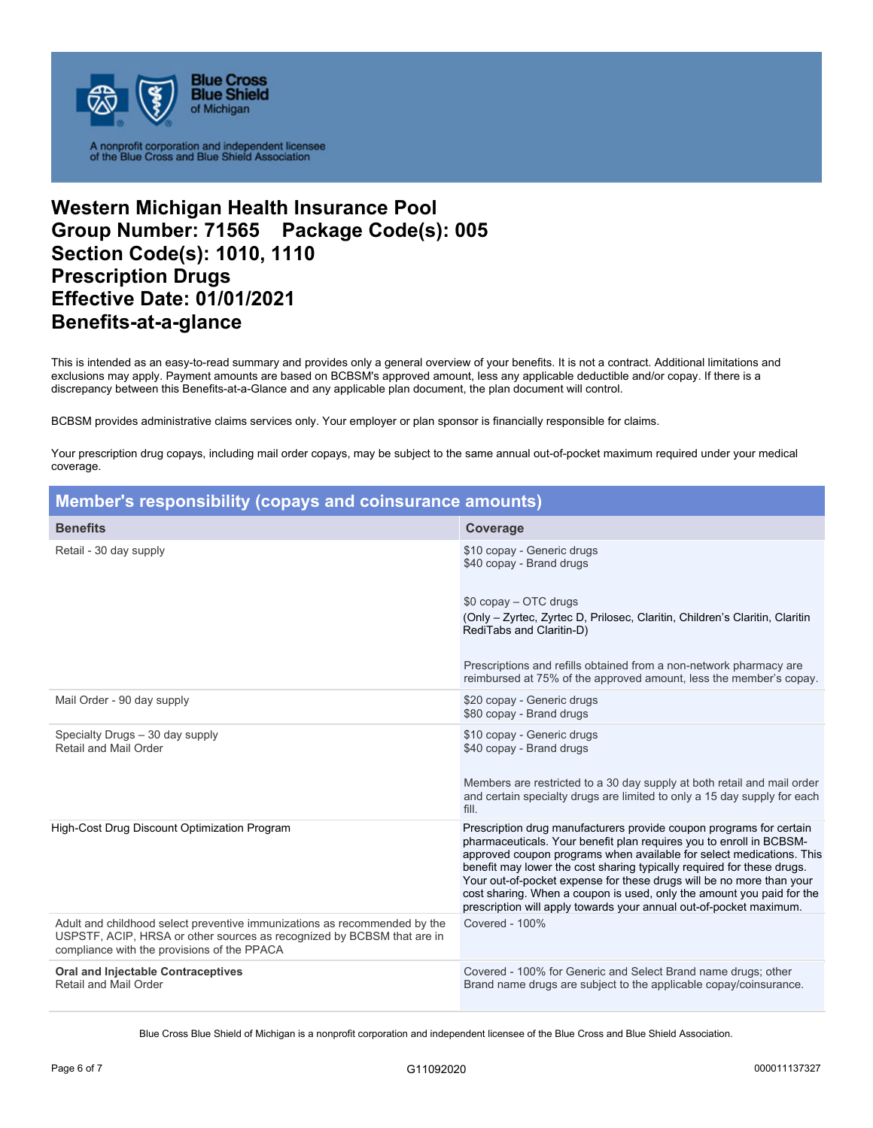

A nonprofit corporation and independent licensee<br>of the Blue Cross and Blue Shield Association

# **Western Michigan Health Insurance Pool Group Number: 71565 Package Code(s): 005 Section Code(s): 1010, 1110 Prescription Drugs Effective Date: 01/01/2021 Benefits-at-a-glance**

This is intended as an easy-to-read summary and provides only a general overview of your benefits. It is not a contract. Additional limitations and exclusions may apply. Payment amounts are based on BCBSM's approved amount, less any applicable deductible and/or copay. If there is a discrepancy between this Benefits-at-a-Glance and any applicable plan document, the plan document will control.

BCBSM provides administrative claims services only. Your employer or plan sponsor is financially responsible for claims.

Your prescription drug copays, including mail order copays, may be subject to the same annual out-of-pocket maximum required under your medical coverage.

| Member's responsibility (copays and coinsurance amounts)                                                                                                                                           |                                                                                                                                                                                                                                                                                                                                                                                                                                                                                                                     |  |
|----------------------------------------------------------------------------------------------------------------------------------------------------------------------------------------------------|---------------------------------------------------------------------------------------------------------------------------------------------------------------------------------------------------------------------------------------------------------------------------------------------------------------------------------------------------------------------------------------------------------------------------------------------------------------------------------------------------------------------|--|
| <b>Benefits</b>                                                                                                                                                                                    | <b>Coverage</b>                                                                                                                                                                                                                                                                                                                                                                                                                                                                                                     |  |
| Retail - 30 day supply                                                                                                                                                                             | \$10 copay - Generic drugs<br>\$40 copay - Brand drugs                                                                                                                                                                                                                                                                                                                                                                                                                                                              |  |
|                                                                                                                                                                                                    | $$0$ copay $-$ OTC drugs<br>(Only - Zyrtec, Zyrtec D, Prilosec, Claritin, Children's Claritin, Claritin<br>RediTabs and Claritin-D)                                                                                                                                                                                                                                                                                                                                                                                 |  |
|                                                                                                                                                                                                    | Prescriptions and refills obtained from a non-network pharmacy are<br>reimbursed at 75% of the approved amount, less the member's copay.                                                                                                                                                                                                                                                                                                                                                                            |  |
| Mail Order - 90 day supply                                                                                                                                                                         | \$20 copay - Generic drugs<br>\$80 copay - Brand drugs                                                                                                                                                                                                                                                                                                                                                                                                                                                              |  |
| Specialty Drugs - 30 day supply<br>Retail and Mail Order                                                                                                                                           | \$10 copay - Generic drugs<br>\$40 copay - Brand drugs                                                                                                                                                                                                                                                                                                                                                                                                                                                              |  |
|                                                                                                                                                                                                    | Members are restricted to a 30 day supply at both retail and mail order<br>and certain specialty drugs are limited to only a 15 day supply for each<br>fill.                                                                                                                                                                                                                                                                                                                                                        |  |
| High-Cost Drug Discount Optimization Program                                                                                                                                                       | Prescription drug manufacturers provide coupon programs for certain<br>pharmaceuticals. Your benefit plan requires you to enroll in BCBSM-<br>approved coupon programs when available for select medications. This<br>benefit may lower the cost sharing typically required for these drugs.<br>Your out-of-pocket expense for these drugs will be no more than your<br>cost sharing. When a coupon is used, only the amount you paid for the<br>prescription will apply towards your annual out-of-pocket maximum. |  |
| Adult and childhood select preventive immunizations as recommended by the<br>USPSTF, ACIP, HRSA or other sources as recognized by BCBSM that are in<br>compliance with the provisions of the PPACA | Covered - 100%                                                                                                                                                                                                                                                                                                                                                                                                                                                                                                      |  |
| <b>Oral and Injectable Contraceptives</b><br>Retail and Mail Order                                                                                                                                 | Covered - 100% for Generic and Select Brand name drugs; other<br>Brand name drugs are subject to the applicable copay/coinsurance.                                                                                                                                                                                                                                                                                                                                                                                  |  |

Blue Cross Blue Shield of Michigan is a nonprofit corporation and independent licensee of the Blue Cross and Blue Shield Association.